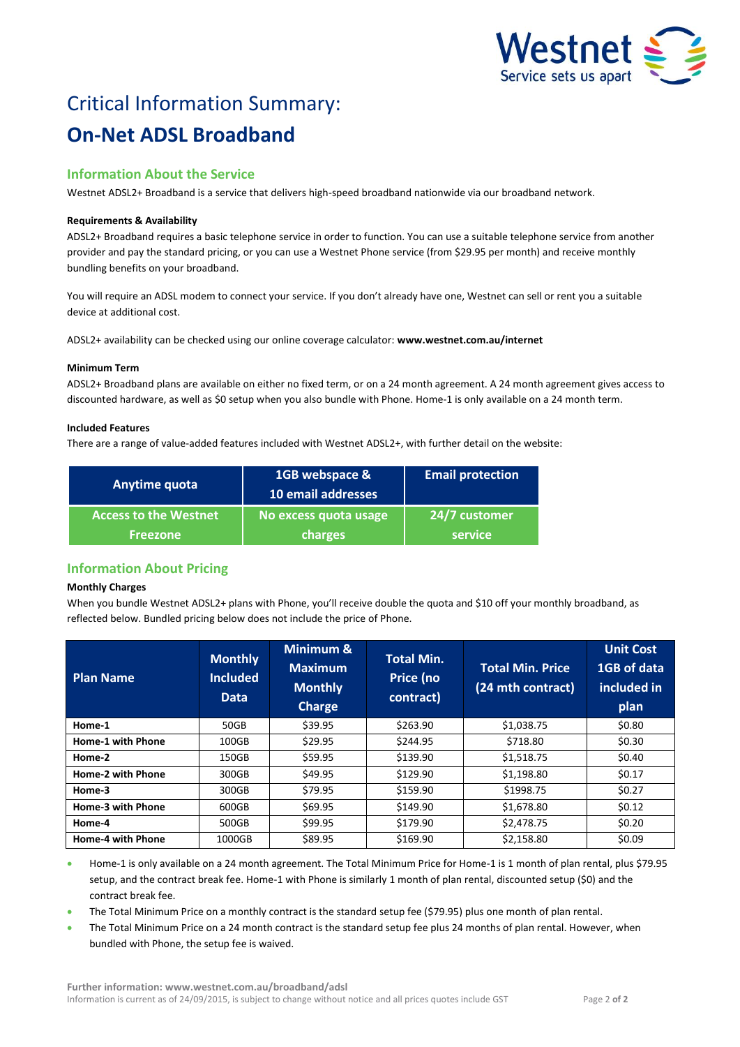

# Critical Information Summary: **On-Net ADSL Broadband**

# **Information About the Service**

Westnet ADSL2+ Broadband is a service that delivers high-speed broadband nationwide via our broadband network.

# **Requirements & Availability**

ADSL2+ Broadband requires a basic telephone service in order to function. You can use a suitable telephone service from another provider and pay the standard pricing, or you can use a Westnet Phone service (from \$29.95 per month) and receive monthly bundling benefits on your broadband.

You will require an ADSL modem to connect your service. If you don't already have one, Westnet can sell or rent you a suitable device at additional cost.

ADSL2+ availability can be checked using our online coverage calculator: **www.westnet.com.au/internet**

### **Minimum Term**

ADSL2+ Broadband plans are available on either no fixed term, or on a 24 month agreement. A 24 month agreement gives access to discounted hardware, as well as \$0 setup when you also bundle with Phone. Home-1 is only available on a 24 month term.

### **Included Features**

There are a range of value-added features included with Westnet ADSL2+, with further detail on the website:

| Anytime quota                | 1GB webspace &<br>10 email addresses | <b>Email protection</b> |
|------------------------------|--------------------------------------|-------------------------|
| <b>Access to the Westnet</b> | No excess quota usage                | 24/7 customer           |
| <b>Freezone</b>              | charges                              | service                 |

# **Information About Pricing**

### **Monthly Charges**

When you bundle Westnet ADSL2+ plans with Phone, you'll receive double the quota and \$10 off your monthly broadband, as reflected below. Bundled pricing below does not include the price of Phone.

| <b>Plan Name</b>         | <b>Monthly</b><br><b>Included</b><br><b>Data</b> | Minimum &<br><b>Maximum</b><br><b>Monthly</b><br><b>Charge</b> | <b>Total Min.</b><br>Price (no<br>contract) | <b>Total Min. Price</b><br>(24 mth contract) | <b>Unit Cost</b><br>1GB of data<br>included in<br>plan |
|--------------------------|--------------------------------------------------|----------------------------------------------------------------|---------------------------------------------|----------------------------------------------|--------------------------------------------------------|
| Home-1                   | 50GB                                             | \$39.95                                                        | \$263.90                                    | \$1,038.75                                   | \$0.80                                                 |
| <b>Home-1 with Phone</b> | 100GB                                            | \$29.95                                                        | \$244.95                                    | \$718.80                                     | \$0.30                                                 |
| Home-2                   | 150GB                                            | \$59.95                                                        | \$139.90                                    | \$1,518.75                                   | \$0.40                                                 |
| <b>Home-2 with Phone</b> | 300GB                                            | \$49.95                                                        | \$129.90                                    | \$1,198.80                                   | \$0.17                                                 |
| Home-3                   | 300GB                                            | \$79.95                                                        | \$159.90                                    | \$1998.75                                    | \$0.27                                                 |
| <b>Home-3 with Phone</b> | 600GB                                            | \$69.95                                                        | \$149.90                                    | \$1,678.80                                   | \$0.12                                                 |
| Home-4                   | 500GB                                            | \$99.95                                                        | \$179.90                                    | \$2,478.75                                   | \$0.20                                                 |
| <b>Home-4 with Phone</b> | 1000GB                                           | \$89.95                                                        | \$169.90                                    | \$2,158.80                                   | \$0.09                                                 |

 Home-1 is only available on a 24 month agreement. The Total Minimum Price for Home-1 is 1 month of plan rental, plus \$79.95 setup, and the contract break fee. Home-1 with Phone is similarly 1 month of plan rental, discounted setup (\$0) and the contract break fee.

- The Total Minimum Price on a monthly contract is the standard setup fee (\$79.95) plus one month of plan rental.
- The Total Minimum Price on a 24 month contract is the standard setup fee plus 24 months of plan rental. However, when bundled with Phone, the setup fee is waived.